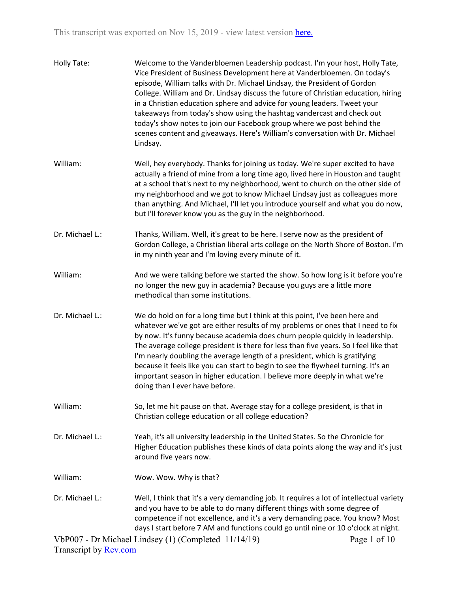| Holly Tate:     | Welcome to the Vanderbloemen Leadership podcast. I'm your host, Holly Tate,<br>Vice President of Business Development here at Vanderbloemen. On today's<br>episode, William talks with Dr. Michael Lindsay, the President of Gordon<br>College. William and Dr. Lindsay discuss the future of Christian education, hiring<br>in a Christian education sphere and advice for young leaders. Tweet your<br>takeaways from today's show using the hashtag vandercast and check out<br>today's show notes to join our Facebook group where we post behind the<br>scenes content and giveaways. Here's William's conversation with Dr. Michael<br>Lindsay. |
|-----------------|-------------------------------------------------------------------------------------------------------------------------------------------------------------------------------------------------------------------------------------------------------------------------------------------------------------------------------------------------------------------------------------------------------------------------------------------------------------------------------------------------------------------------------------------------------------------------------------------------------------------------------------------------------|
| William:        | Well, hey everybody. Thanks for joining us today. We're super excited to have<br>actually a friend of mine from a long time ago, lived here in Houston and taught<br>at a school that's next to my neighborhood, went to church on the other side of<br>my neighborhood and we got to know Michael Lindsay just as colleagues more<br>than anything. And Michael, I'll let you introduce yourself and what you do now,<br>but I'll forever know you as the guy in the neighborhood.                                                                                                                                                                   |
| Dr. Michael L.: | Thanks, William. Well, it's great to be here. I serve now as the president of<br>Gordon College, a Christian liberal arts college on the North Shore of Boston. I'm<br>in my ninth year and I'm loving every minute of it.                                                                                                                                                                                                                                                                                                                                                                                                                            |
| William:        | And we were talking before we started the show. So how long is it before you're<br>no longer the new guy in academia? Because you guys are a little more<br>methodical than some institutions.                                                                                                                                                                                                                                                                                                                                                                                                                                                        |
| Dr. Michael L.: | We do hold on for a long time but I think at this point, I've been here and<br>whatever we've got are either results of my problems or ones that I need to fix<br>by now. It's funny because academia does churn people quickly in leadership.<br>The average college president is there for less than five years. So I feel like that<br>I'm nearly doubling the average length of a president, which is gratifying<br>because it feels like you can start to begin to see the flywheel turning. It's an<br>important season in higher education. I believe more deeply in what we're<br>doing than I ever have before.                              |
| William:        | So, let me hit pause on that. Average stay for a college president, is that in<br>Christian college education or all college education?                                                                                                                                                                                                                                                                                                                                                                                                                                                                                                               |
| Dr. Michael L.: | Yeah, it's all university leadership in the United States. So the Chronicle for<br>Higher Education publishes these kinds of data points along the way and it's just<br>around five years now.                                                                                                                                                                                                                                                                                                                                                                                                                                                        |
| William:        | Wow. Wow. Why is that?                                                                                                                                                                                                                                                                                                                                                                                                                                                                                                                                                                                                                                |
| Dr. Michael L.: | Well, I think that it's a very demanding job. It requires a lot of intellectual variety<br>and you have to be able to do many different things with some degree of<br>competence if not excellence, and it's a very demanding pace. You know? Most<br>days I start before 7 AM and functions could go until nine or 10 o'clock at night.                                                                                                                                                                                                                                                                                                              |
|                 | VbP007 - Dr Michael Lindsey (1) (Completed 11/14/19)<br>Page 1 of 10                                                                                                                                                                                                                                                                                                                                                                                                                                                                                                                                                                                  |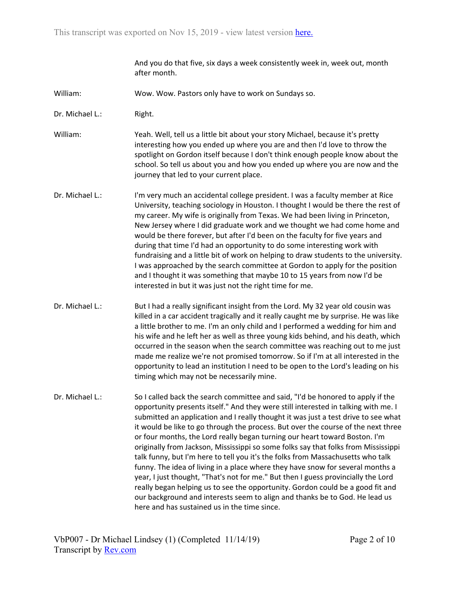And you do that five, six days a week consistently week in, week out, month after month.

- William: Wow. Wow. Pastors only have to work on Sundays so.
- Dr. Michael L.: Right.

William: Yeah. Well, tell us a little bit about your story Michael, because it's pretty interesting how you ended up where you are and then I'd love to throw the spotlight on Gordon itself because I don't think enough people know about the school. So tell us about you and how you ended up where you are now and the journey that led to your current place.

- Dr. Michael L.: I'm very much an accidental college president. I was a faculty member at Rice University, teaching sociology in Houston. I thought I would be there the rest of my career. My wife is originally from Texas. We had been living in Princeton, New Jersey where I did graduate work and we thought we had come home and would be there forever, but after I'd been on the faculty for five years and during that time I'd had an opportunity to do some interesting work with fundraising and a little bit of work on helping to draw students to the university. I was approached by the search committee at Gordon to apply for the position and I thought it was something that maybe 10 to 15 years from now I'd be interested in but it was just not the right time for me.
- Dr. Michael L.: But I had a really significant insight from the Lord. My 32 year old cousin was killed in a car accident tragically and it really caught me by surprise. He was like a little brother to me. I'm an only child and I performed a wedding for him and his wife and he left her as well as three young kids behind, and his death, which occurred in the season when the search committee was reaching out to me just made me realize we're not promised tomorrow. So if I'm at all interested in the opportunity to lead an institution I need to be open to the Lord's leading on his timing which may not be necessarily mine.
- Dr. Michael L.: So I called back the search committee and said, "I'd be honored to apply if the opportunity presents itself." And they were still interested in talking with me. I submitted an application and I really thought it was just a test drive to see what it would be like to go through the process. But over the course of the next three or four months, the Lord really began turning our heart toward Boston. I'm originally from Jackson, Mississippi so some folks say that folks from Mississippi talk funny, but I'm here to tell you it's the folks from Massachusetts who talk funny. The idea of living in a place where they have snow for several months a year, I just thought, "That's not for me." But then I guess provincially the Lord really began helping us to see the opportunity. Gordon could be a good fit and our background and interests seem to align and thanks be to God. He lead us here and has sustained us in the time since.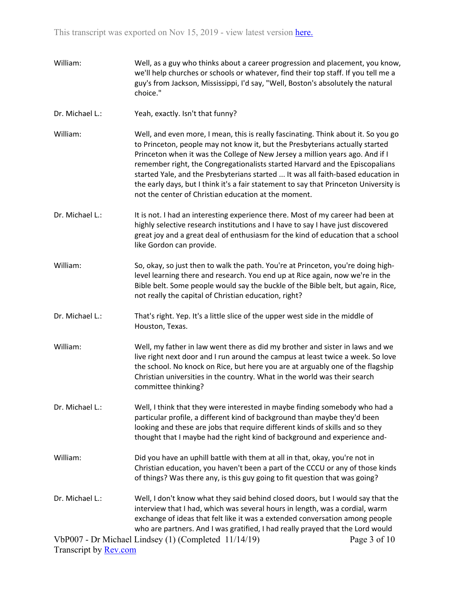- William: Well, as a guy who thinks about a career progression and placement, you know, we'll help churches or schools or whatever, find their top staff. If you tell me a guy's from Jackson, Mississippi, I'd say, "Well, Boston's absolutely the natural choice."
- Dr. Michael L.: Yeah, exactly. Isn't that funny?
- William: Well, and even more, I mean, this is really fascinating. Think about it. So you go to Princeton, people may not know it, but the Presbyterians actually started Princeton when it was the College of New Jersey a million years ago. And if I remember right, the Congregationalists started Harvard and the Episcopalians started Yale, and the Presbyterians started ... It was all faith-based education in the early days, but I think it's a fair statement to say that Princeton University is not the center of Christian education at the moment.
- Dr. Michael L.: It is not. I had an interesting experience there. Most of my career had been at highly selective research institutions and I have to say I have just discovered great joy and a great deal of enthusiasm for the kind of education that a school like Gordon can provide.
- William: So, okay, so just then to walk the path. You're at Princeton, you're doing highlevel learning there and research. You end up at Rice again, now we're in the Bible belt. Some people would say the buckle of the Bible belt, but again, Rice, not really the capital of Christian education, right?
- Dr. Michael L.: That's right. Yep. It's a little slice of the upper west side in the middle of Houston, Texas.
- William: Well, my father in law went there as did my brother and sister in laws and we live right next door and I run around the campus at least twice a week. So love the school. No knock on Rice, but here you are at arguably one of the flagship Christian universities in the country. What in the world was their search committee thinking?
- Dr. Michael L.: Well, I think that they were interested in maybe finding somebody who had a particular profile, a different kind of background than maybe they'd been looking and these are jobs that require different kinds of skills and so they thought that I maybe had the right kind of background and experience and-
- William: Did you have an uphill battle with them at all in that, okay, you're not in Christian education, you haven't been a part of the CCCU or any of those kinds of things? Was there any, is this guy going to fit question that was going?
- VbP007 Dr Michael Lindsey (1) (Completed 11/14/19) Dr. Michael L.: Well, I don't know what they said behind closed doors, but I would say that the interview that I had, which was several hours in length, was a cordial, warm exchange of ideas that felt like it was a extended conversation among people who are partners. And I was gratified, I had really prayed that the Lord would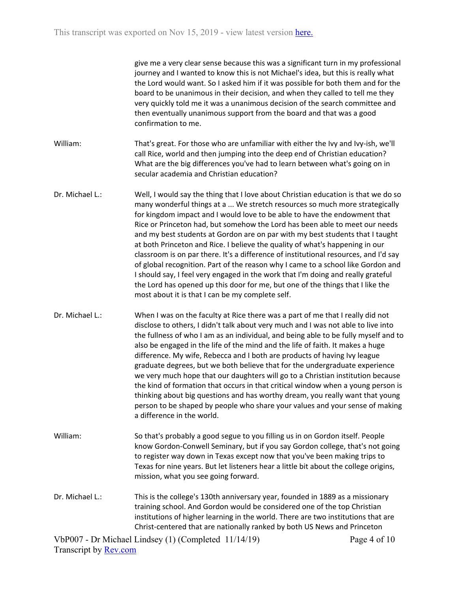give me a very clear sense because this was a significant turn in my professional journey and I wanted to know this is not Michael's idea, but this is really what the Lord would want. So I asked him if it was possible for both them and for the board to be unanimous in their decision, and when they called to tell me they very quickly told me it was a unanimous decision of the search committee and then eventually unanimous support from the board and that was a good confirmation to me.

- William: That's great. For those who are unfamiliar with either the Ivy and Ivy-ish, we'll call Rice, world and then jumping into the deep end of Christian education? What are the big differences you've had to learn between what's going on in secular academia and Christian education?
- Dr. Michael L.: Well, I would say the thing that I love about Christian education is that we do so many wonderful things at a ... We stretch resources so much more strategically for kingdom impact and I would love to be able to have the endowment that Rice or Princeton had, but somehow the Lord has been able to meet our needs and my best students at Gordon are on par with my best students that I taught at both Princeton and Rice. I believe the quality of what's happening in our classroom is on par there. It's a difference of institutional resources, and I'd say of global recognition. Part of the reason why I came to a school like Gordon and I should say, I feel very engaged in the work that I'm doing and really grateful the Lord has opened up this door for me, but one of the things that I like the most about it is that I can be my complete self.
- Dr. Michael L.: When I was on the faculty at Rice there was a part of me that I really did not disclose to others, I didn't talk about very much and I was not able to live into the fullness of who I am as an individual, and being able to be fully myself and to also be engaged in the life of the mind and the life of faith. It makes a huge difference. My wife, Rebecca and I both are products of having Ivy league graduate degrees, but we both believe that for the undergraduate experience we very much hope that our daughters will go to a Christian institution because the kind of formation that occurs in that critical window when a young person is thinking about big questions and has worthy dream, you really want that young person to be shaped by people who share your values and your sense of making a difference in the world.
- William: So that's probably a good segue to you filling us in on Gordon itself. People know Gordon-Conwell Seminary, but if you say Gordon college, that's not going to register way down in Texas except now that you've been making trips to Texas for nine years. But let listeners hear a little bit about the college origins, mission, what you see going forward.
- Dr. Michael L.: This is the college's 130th anniversary year, founded in 1889 as a missionary training school. And Gordon would be considered one of the top Christian institutions of higher learning in the world. There are two institutions that are Christ-centered that are nationally ranked by both US News and Princeton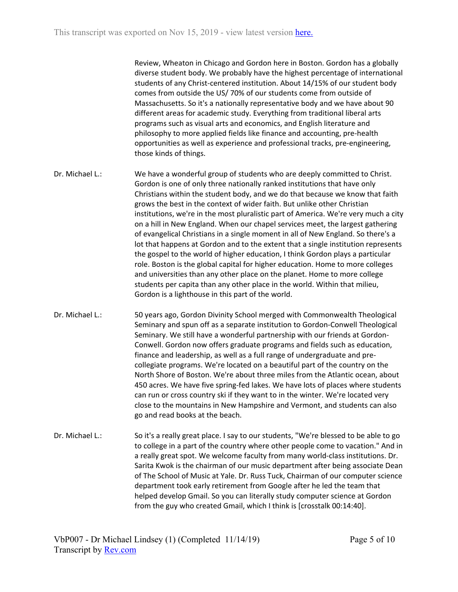Review, Wheaton in Chicago and Gordon here in Boston. Gordon has a globally diverse student body. We probably have the highest percentage of international students of any Christ-centered institution. About 14/15% of our student body comes from outside the US/ 70% of our students come from outside of Massachusetts. So it's a nationally representative body and we have about 90 different areas for academic study. Everything from traditional liberal arts programs such as visual arts and economics, and English literature and philosophy to more applied fields like finance and accounting, pre-health opportunities as well as experience and professional tracks, pre-engineering, those kinds of things.

- Dr. Michael L.: We have a wonderful group of students who are deeply committed to Christ. Gordon is one of only three nationally ranked institutions that have only Christians within the student body, and we do that because we know that faith grows the best in the context of wider faith. But unlike other Christian institutions, we're in the most pluralistic part of America. We're very much a city on a hill in New England. When our chapel services meet, the largest gathering of evangelical Christians in a single moment in all of New England. So there's a lot that happens at Gordon and to the extent that a single institution represents the gospel to the world of higher education, I think Gordon plays a particular role. Boston is the global capital for higher education. Home to more colleges and universities than any other place on the planet. Home to more college students per capita than any other place in the world. Within that milieu, Gordon is a lighthouse in this part of the world.
- Dr. Michael L.: 50 years ago, Gordon Divinity School merged with Commonwealth Theological Seminary and spun off as a separate institution to Gordon-Conwell Theological Seminary. We still have a wonderful partnership with our friends at Gordon-Conwell. Gordon now offers graduate programs and fields such as education, finance and leadership, as well as a full range of undergraduate and precollegiate programs. We're located on a beautiful part of the country on the North Shore of Boston. We're about three miles from the Atlantic ocean, about 450 acres. We have five spring-fed lakes. We have lots of places where students can run or cross country ski if they want to in the winter. We're located very close to the mountains in New Hampshire and Vermont, and students can also go and read books at the beach.
- Dr. Michael L.: So it's a really great place. I say to our students, "We're blessed to be able to go to college in a part of the country where other people come to vacation." And in a really great spot. We welcome faculty from many world-class institutions. Dr. Sarita Kwok is the chairman of our music department after being associate Dean of The School of Music at Yale. Dr. Russ Tuck, Chairman of our computer science department took early retirement from Google after he led the team that helped develop Gmail. So you can literally study computer science at Gordon from the guy who created Gmail, which I think is [crosstalk 00:14:40].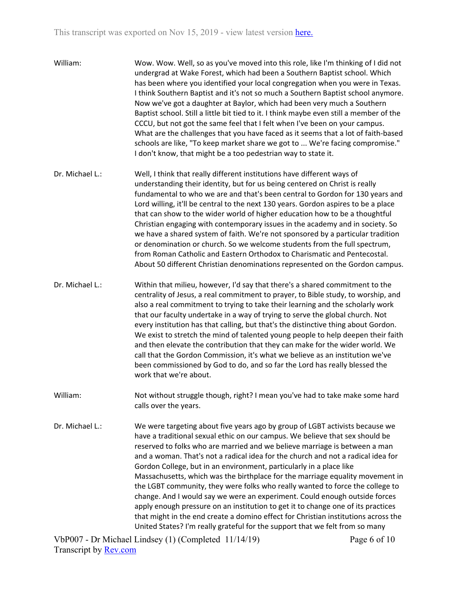- William: Wow. Wow. Well, so as you've moved into this role, like I'm thinking of I did not undergrad at Wake Forest, which had been a Southern Baptist school. Which has been where you identified your local congregation when you were in Texas. I think Southern Baptist and it's not so much a Southern Baptist school anymore. Now we've got a daughter at Baylor, which had been very much a Southern Baptist school. Still a little bit tied to it. I think maybe even still a member of the CCCU, but not got the same feel that I felt when I've been on your campus. What are the challenges that you have faced as it seems that a lot of faith-based schools are like, "To keep market share we got to ... We're facing compromise." I don't know, that might be a too pedestrian way to state it.
- Dr. Michael L.: Well, I think that really different institutions have different ways of understanding their identity, but for us being centered on Christ is really fundamental to who we are and that's been central to Gordon for 130 years and Lord willing, it'll be central to the next 130 years. Gordon aspires to be a place that can show to the wider world of higher education how to be a thoughtful Christian engaging with contemporary issues in the academy and in society. So we have a shared system of faith. We're not sponsored by a particular tradition or denomination or church. So we welcome students from the full spectrum, from Roman Catholic and Eastern Orthodox to Charismatic and Pentecostal. About 50 different Christian denominations represented on the Gordon campus.
- Dr. Michael L.: Within that milieu, however, I'd say that there's a shared commitment to the centrality of Jesus, a real commitment to prayer, to Bible study, to worship, and also a real commitment to trying to take their learning and the scholarly work that our faculty undertake in a way of trying to serve the global church. Not every institution has that calling, but that's the distinctive thing about Gordon. We exist to stretch the mind of talented young people to help deepen their faith and then elevate the contribution that they can make for the wider world. We call that the Gordon Commission, it's what we believe as an institution we've been commissioned by God to do, and so far the Lord has really blessed the work that we're about.
- William: Not without struggle though, right? I mean you've had to take make some hard calls over the years.
- Dr. Michael L.: We were targeting about five years ago by group of LGBT activists because we have a traditional sexual ethic on our campus. We believe that sex should be reserved to folks who are married and we believe marriage is between a man and a woman. That's not a radical idea for the church and not a radical idea for Gordon College, but in an environment, particularly in a place like Massachusetts, which was the birthplace for the marriage equality movement in the LGBT community, they were folks who really wanted to force the college to change. And I would say we were an experiment. Could enough outside forces apply enough pressure on an institution to get it to change one of its practices that might in the end create a domino effect for Christian institutions across the United States? I'm really grateful for the support that we felt from so many

VbP007 - Dr Michael Lindsey (1) (Completed 11/14/19) Transcript by [Rev.com](https://www.rev.com/)

Page 6 of 10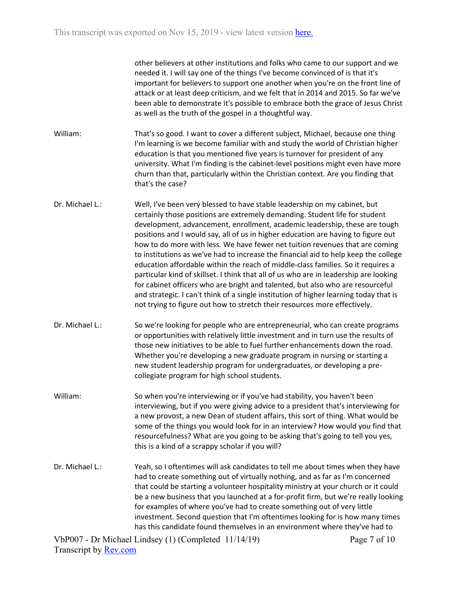other believers at other institutions and folks who came to our support and we needed it. I will say one of the things I've become convinced of is that it's important for believers to support one another when you're on the front line of attack or at least deep criticism, and we felt that in 2014 and 2015. So far we've been able to demonstrate it's possible to embrace both the grace of Jesus Christ as well as the truth of the gospel in a thoughtful way.

- William: That's so good. I want to cover a different subject, Michael, because one thing I'm learning is we become familiar with and study the world of Christian higher education is that you mentioned five years is turnover for president of any university. What I'm finding is the cabinet-level positions might even have more churn than that, particularly within the Christian context. Are you finding that that's the case?
- Dr. Michael L.: Well, I've been very blessed to have stable leadership on my cabinet, but certainly those positions are extremely demanding. Student life for student development, advancement, enrollment, academic leadership, these are tough positions and I would say, all of us in higher education are having to figure out how to do more with less. We have fewer net tuition revenues that are coming to institutions as we've had to increase the financial aid to help keep the college education affordable within the reach of middle-class families. So it requires a particular kind of skillset. I think that all of us who are in leadership are looking for cabinet officers who are bright and talented, but also who are resourceful and strategic. I can't think of a single institution of higher learning today that is not trying to figure out how to stretch their resources more effectively.
- Dr. Michael L.: So we're looking for people who are entrepreneurial, who can create programs or opportunities with relatively little investment and in turn use the results of those new initiatives to be able to fuel further enhancements down the road. Whether you're developing a new graduate program in nursing or starting a new student leadership program for undergraduates, or developing a precollegiate program for high school students.
- William: So when you're interviewing or if you've had stability, you haven't been interviewing, but if you were giving advice to a president that's interviewing for a new provost, a new Dean of student affairs, this sort of thing. What would be some of the things you would look for in an interview? How would you find that resourcefulness? What are you going to be asking that's going to tell you yes, this is a kind of a scrappy scholar if you will?
- Dr. Michael L.: Yeah, so I oftentimes will ask candidates to tell me about times when they have had to create something out of virtually nothing, and as far as I'm concerned that could be starting a volunteer hospitality ministry at your church or it could be a new business that you launched at a for-profit firm, but we're really looking for examples of where you've had to create something out of very little investment. Second question that I'm oftentimes looking for is how many times has this candidate found themselves in an environment where they've had to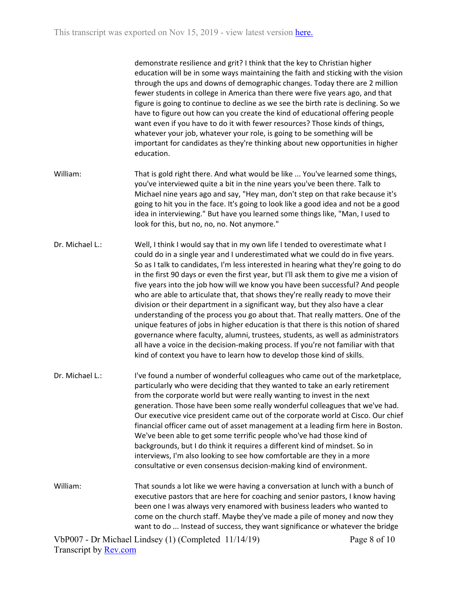demonstrate resilience and grit? I think that the key to Christian higher education will be in some ways maintaining the faith and sticking with the vision through the ups and downs of demographic changes. Today there are 2 million fewer students in college in America than there were five years ago, and that figure is going to continue to decline as we see the birth rate is declining. So we have to figure out how can you create the kind of educational offering people want even if you have to do it with fewer resources? Those kinds of things, whatever your job, whatever your role, is going to be something will be important for candidates as they're thinking about new opportunities in higher education.

- William: That is gold right there. And what would be like ... You've learned some things, you've interviewed quite a bit in the nine years you've been there. Talk to Michael nine years ago and say, "Hey man, don't step on that rake because it's going to hit you in the face. It's going to look like a good idea and not be a good idea in interviewing." But have you learned some things like, "Man, I used to look for this, but no, no, no. Not anymore."
- Dr. Michael L.: Well, I think I would say that in my own life I tended to overestimate what I could do in a single year and I underestimated what we could do in five years. So as I talk to candidates, I'm less interested in hearing what they're going to do in the first 90 days or even the first year, but I'll ask them to give me a vision of five years into the job how will we know you have been successful? And people who are able to articulate that, that shows they're really ready to move their division or their department in a significant way, but they also have a clear understanding of the process you go about that. That really matters. One of the unique features of jobs in higher education is that there is this notion of shared governance where faculty, alumni, trustees, students, as well as administrators all have a voice in the decision-making process. If you're not familiar with that kind of context you have to learn how to develop those kind of skills.
- Dr. Michael L.: I've found a number of wonderful colleagues who came out of the marketplace, particularly who were deciding that they wanted to take an early retirement from the corporate world but were really wanting to invest in the next generation. Those have been some really wonderful colleagues that we've had. Our executive vice president came out of the corporate world at Cisco. Our chief financial officer came out of asset management at a leading firm here in Boston. We've been able to get some terrific people who've had those kind of backgrounds, but I do think it requires a different kind of mindset. So in interviews, I'm also looking to see how comfortable are they in a more consultative or even consensus decision-making kind of environment.
- William: That sounds a lot like we were having a conversation at lunch with a bunch of executive pastors that are here for coaching and senior pastors, I know having been one I was always very enamored with business leaders who wanted to come on the church staff. Maybe they've made a pile of money and now they want to do ... Instead of success, they want significance or whatever the bridge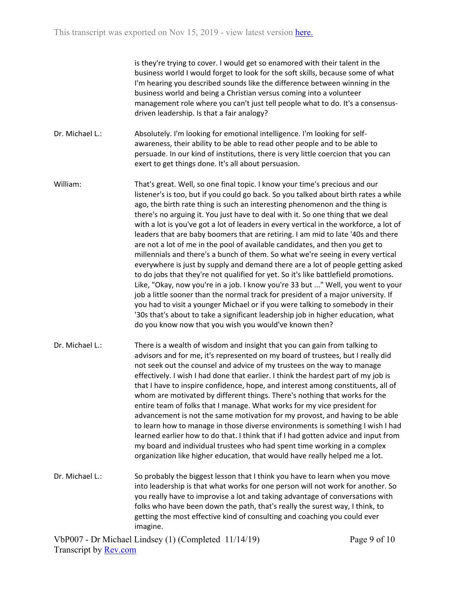is they're trying to cover. I would get so enamored with their talent in the business world I would forget to look for the soft skills, because some of what I'm hearing you described sounds like the difference between winning in the business world and being a Christian versus coming into a volunteer management role where you can't just tell people what to do. It's a consensusdriven leadership. Is that a fair analogy?

Dr. Michael L.: Absolutely. I'm looking for emotional intelligence. I'm looking for selfawareness, their ability to be able to read other people and to be able to persuade. In our kind of institutions, there is very little coercion that you can exert to get things done. It's all about persuasion.

William: That's great. Well, so one final topic. I know your time's precious and our listener's is too, but if you could go back. So you talked about birth rates a while ago, the birth rate thing is such an interesting phenomenon and the thing is there's no arguing it. You just have to deal with it. So one thing that we deal with a lot is you've got a lot of leaders in every vertical in the workforce, a lot of leaders that are baby boomers that are retiring. I am mid to late '40s and there are not a lot of me in the pool of available candidates, and then you get to millennials and there's a bunch of them. So what we're seeing in every vertical everywhere is just by supply and demand there are a lot of people getting asked to do jobs that they're not qualified for yet. So it's like battlefield promotions. Like, "Okay, now you're in a job. I know you're 33 but ..." Well, you went to your job a little sooner than the normal track for president of a major university. If you had to visit a younger Michael or if you were talking to somebody in their '30s that's about to take a significant leadership job in higher education, what do you know now that you wish you would've known then?

Dr. Michael L.: There is a wealth of wisdom and insight that you can gain from talking to advisors and for me, it's represented on my board of trustees, but I really did not seek out the counsel and advice of my trustees on the way to manage effectively. I wish I had done that earlier. I think the hardest part of my job is that I have to inspire confidence, hope, and interest among constituents, all of whom are motivated by different things. There's nothing that works for the entire team of folks that I manage. What works for my vice president for advancement is not the same motivation for my provost, and having to be able to learn how to manage in those diverse environments is something I wish I had learned earlier how to do that. I think that if I had gotten advice and input from my board and individual trustees who had spent time working in a complex organization like higher education, that would have really helped me a lot.

Dr. Michael L.: So probably the biggest lesson that I think you have to learn when you move into leadership is that what works for one person will not work for another. So you really have to improvise a lot and taking advantage of conversations with folks who have been down the path, that's really the surest way, I think, to getting the most effective kind of consulting and coaching you could ever imagine.